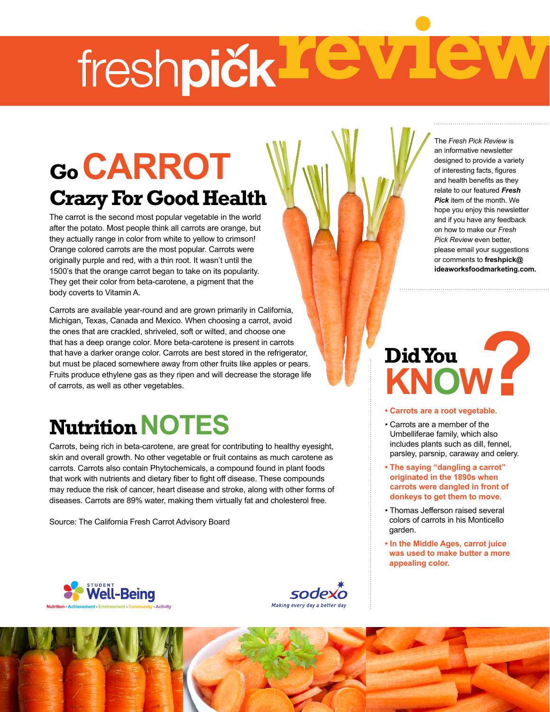# freshpičk FC

## **Go carrot Crazy For Good Health**

The carrot is the second most popular vegetable in the world after the potato. Most people think all carrots are orange, but they actually range in color from white to yellow to crimson! Orange colored carrots are the most popular. Carrots were originally purple and red, with a thin root. It wasn't until the 1500's that the orange carrot began to take on its popularity. They get their color from beta-carotene, a pigment that the body coverts to Vitamin A.

Carrots are available year-round and are grown primarily in California, Michigan, Texas, Canada and Mexico. When choosing a carrot, avoid the ones that are crackled, shriveled, soft or wilted, and choose one that has a deep orange color. More beta-carotene is present in carrots that have a darker orange color. Carrots are best stored in the refrigerator, but must be placed somewhere away from other fruits like apples or pears. Fruits produce ethylene gas as they ripen and will decrease the storage life of carrots, as well as other vegetables.

## **Nutrition NOTES**

Carrots, being rich in beta-carotene, are great for contributing to healthy eyesight, skin and overall growth. No other vegetable or fruit contains as much carotene as carrots. Carrots also contain Phytochemicals, a compound found in plant foods that work with nutrients and dietary fiber to fight off disease. These compounds may reduce the risk of cancer, heart disease and stroke, along with other forms of diseases. Carrots are 89% water, making them virtually fat and cholesterol free.

Source: The California Fresh Carrot Advisory Board

The *Fresh Pick Review* is an informative newsletter designed to provide a variety of interesting facts, figures and health benefits as they relate to our featured *Fresh Pick* item of the month. We hope you enjoy this newsletter and if you have any feedback on how to make our *Fresh Pick Review* even better, please email your suggestions or comments to **freshpick@ ideaworksfoodmarketing.com.**

## **Did You** Did You<br>KNOW -

#### **• Carrots are a root vegetable.**

- Carrots are a member of the Umbelliferae family, which also includes plants such as dill, fennel, parsley, parsnip, caraway and celery.
- **The saying "dangling a carrot" originated in the 1890s when carrots were dangled in front of donkeys to get them to move.**
- Thomas Jefferson raised several colors of carrots in his Monticello garden.
- **In the Middle Ages, carrot juice was used to make butter a more appealing color.**